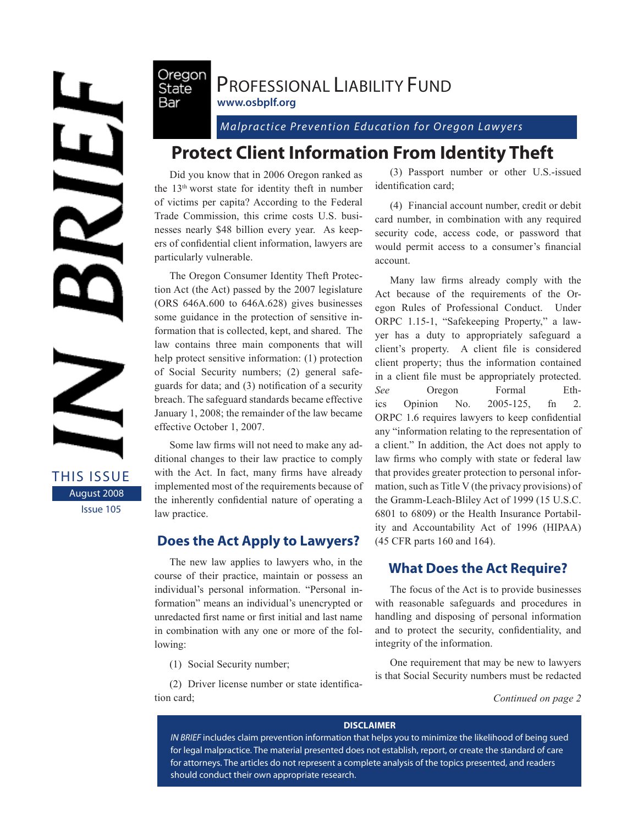NEF

THIS ISSUE August 2008 Issue 105

### Oregon PROFESSIONAL LIABILITY FUND **www.osbplf.org**

*Malpractice Prevention Education for Oregon Lawyers* 

# **Protect Client Information From Identity Theft**

Did you know that in 2006 Oregon ranked as the 13th worst state for identity theft in number of victims per capita? According to the Federal Trade Commission, this crime costs U.S. businesses nearly \$48 billion every year. As keepers of confidential client information, lawyers are particularly vulnerable.

State Bar

The Oregon Consumer Identity Theft Protection Act (the Act) passed by the 2007 legislature (ORS 646A.600 to 646A.628) gives businesses some guidance in the protection of sensitive information that is collected, kept, and shared. The law contains three main components that will help protect sensitive information: (1) protection of Social Security numbers; (2) general safeguards for data; and (3) notification of a security breach. The safeguard standards became effective January 1, 2008; the remainder of the law became effective October 1, 2007.

Some law firms will not need to make any additional changes to their law practice to comply with the Act. In fact, many firms have already implemented most of the requirements because of the inherently confidential nature of operating a law practice.

### **Does the Act Apply to Lawyers?**

The new law applies to lawyers who, in the course of their practice, maintain or possess an individual's personal information. "Personal information" means an individual's unencrypted or unredacted first name or first initial and last name in combination with any one or more of the following:

(1) Social Security number;

(2) Driver license number or state identification card;

(3) Passport number or other U.S.-issued identification card;

(4) Financial account number, credit or debit card number, in combination with any required security code, access code, or password that would permit access to a consumer's financial account.

Many law firms already comply with the Act because of the requirements of the Oregon Rules of Professional Conduct. Under ORPC 1.15-1, "Safekeeping Property," a lawyer has a duty to appropriately safeguard a client's property. A client file is considered client property; thus the information contained in a client file must be appropriately protected. *See* Oregon Formal Ethics Opinion No. 2005-125, fn 2. ORPC 1.6 requires lawyers to keep confidential any "information relating to the representation of a client." In addition, the Act does not apply to law firms who comply with state or federal law that provides greater protection to personal information, such as Title V (the privacy provisions) of the Gramm-Leach-Bliley Act of 1999 (15 U.S.C. 6801 to 6809) or the Health Insurance Portability and Accountability Act of 1996 (HIPAA) (45 CFR parts 160 and 164).

## **What Does the Act Require?**

The focus of the Act is to provide businesses with reasonable safeguards and procedures in handling and disposing of personal information and to protect the security, confidentiality, and integrity of the information.

One requirement that may be new to lawyers is that Social Security numbers must be redacted

*Continued on page 2*

#### **DISCLAIMER**

*IN BRIEF* includes claim prevention information that helps you to minimize the likelihood of being sued for legal malpractice. The material presented does not establish, report, or create the standard of care for attorneys. The articles do not represent a complete analysis of the topics presented, and readers should conduct their own appropriate research.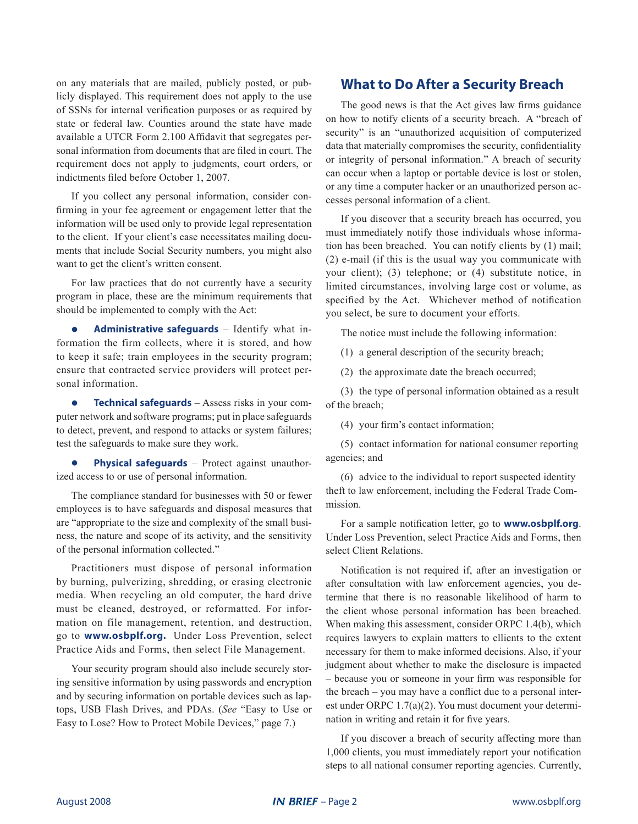on any materials that are mailed, publicly posted, or publicly displayed. This requirement does not apply to the use of SSNs for internal verification purposes or as required by state or federal law. Counties around the state have made available a UTCR Form 2.100 Affidavit that segregates personal information from documents that are filed in court. The requirement does not apply to judgments, court orders, or indictments filed before October 1, 2007.

If you collect any personal information, consider confirming in your fee agreement or engagement letter that the information will be used only to provide legal representation to the client. If your client's case necessitates mailing documents that include Social Security numbers, you might also want to get the client's written consent.

For law practices that do not currently have a security program in place, these are the minimum requirements that should be implemented to comply with the Act:

**• Administrative safeguards** – Identify what information the firm collects, where it is stored, and how to keep it safe; train employees in the security program; ensure that contracted service providers will protect personal information.

**• Technical safeguards** – Assess risks in your computer network and software programs; put in place safeguards to detect, prevent, and respond to attacks or system failures; test the safeguards to make sure they work.

**• Physical safeguards** – Protect against unauthorized access to or use of personal information.

The compliance standard for businesses with 50 or fewer employees is to have safeguards and disposal measures that are "appropriate to the size and complexity of the small business, the nature and scope of its activity, and the sensitivity of the personal information collected."

Practitioners must dispose of personal information by burning, pulverizing, shredding, or erasing electronic media. When recycling an old computer, the hard drive must be cleaned, destroyed, or reformatted. For information on file management, retention, and destruction, go to **www.osbplf.org.** Under Loss Prevention, select Practice Aids and Forms, then select File Management.

Your security program should also include securely storing sensitive information by using passwords and encryption and by securing information on portable devices such as laptops, USB Flash Drives, and PDAs. (*See* "Easy to Use or Easy to Lose? How to Protect Mobile Devices," page 7.)

### **What to Do After a Security Breach**

The good news is that the Act gives law firms guidance on how to notify clients of a security breach. A "breach of security" is an "unauthorized acquisition of computerized data that materially compromises the security, confidentiality or integrity of personal information." A breach of security can occur when a laptop or portable device is lost or stolen, or any time a computer hacker or an unauthorized person accesses personal information of a client.

If you discover that a security breach has occurred, you must immediately notify those individuals whose information has been breached. You can notify clients by (1) mail; (2) e-mail (if this is the usual way you communicate with your client); (3) telephone; or (4) substitute notice, in limited circumstances, involving large cost or volume, as specified by the Act. Whichever method of notification you select, be sure to document your efforts.

The notice must include the following information:

(1) a general description of the security breach;

(2) the approximate date the breach occurred;

(3) the type of personal information obtained as a result of the breach;

(4) your firm's contact information;

(5) contact information for national consumer reporting agencies; and

(6) advice to the individual to report suspected identity theft to law enforcement, including the Federal Trade Commission.

For a sample notification letter, go to **www.osbplf.org**. Under Loss Prevention, select Practice Aids and Forms, then select Client Relations.

Notification is not required if, after an investigation or after consultation with law enforcement agencies, you determine that there is no reasonable likelihood of harm to the client whose personal information has been breached. When making this assessment, consider ORPC 1.4(b), which requires lawyers to explain matters to cllients to the extent necessary for them to make informed decisions. Also, if your judgment about whether to make the disclosure is impacted – because you or someone in your firm was responsible for the breach – you may have a conflict due to a personal interest under ORPC 1.7(a)(2). You must document your determination in writing and retain it for five years.

If you discover a breach of security affecting more than 1,000 clients, you must immediately report your notification steps to all national consumer reporting agencies. Currently,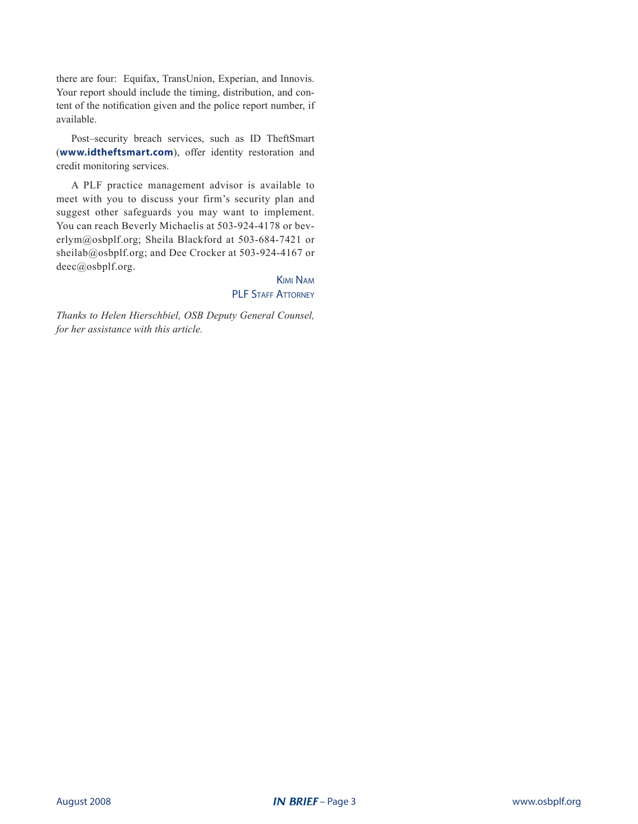there are four: Equifax, TransUnion, Experian, and Innovis. Your report should include the timing, distribution, and content of the notification given and the police report number, if available.

Post–security breach services, such as ID TheftSmart (**www.idtheftsmart.com**), offer identity restoration and credit monitoring services.

A PLF practice management advisor is available to meet with you to discuss your firm's security plan and suggest other safeguards you may want to implement. You can reach Beverly Michaelis at 503-924-4178 or beverlym@osbplf.org; Sheila Blackford at 503-684-7421 or sheilab@osbplf.org; and Dee Crocker at 503-924-4167 or deec@osbplf.org.

> Kimi Nam PLF STAFF ATTORNEY

*Thanks to Helen Hierschbiel, OSB Deputy General Counsel, for her assistance with this article.*